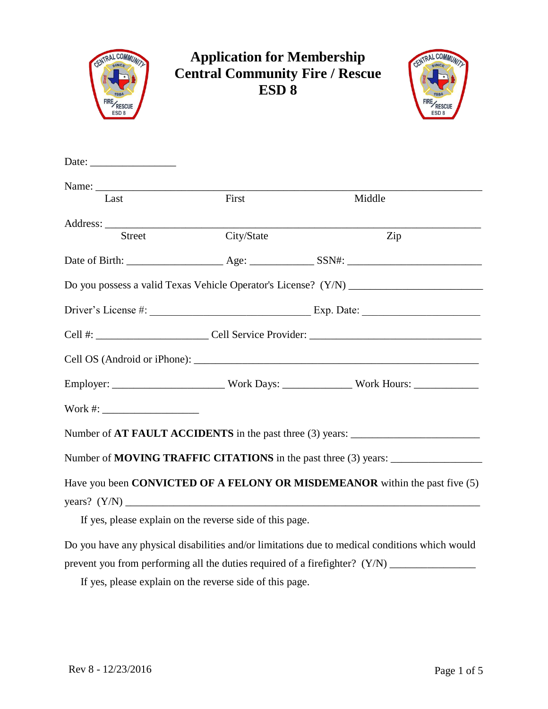

## **Application for Membership Central Community Fire / Rescue ESD 8**



| Last         | First                                                    | Middle                                                                                         |
|--------------|----------------------------------------------------------|------------------------------------------------------------------------------------------------|
|              |                                                          |                                                                                                |
| Street       | City/State                                               | Zip                                                                                            |
|              |                                                          |                                                                                                |
|              |                                                          |                                                                                                |
|              |                                                          |                                                                                                |
|              |                                                          |                                                                                                |
|              |                                                          |                                                                                                |
|              |                                                          |                                                                                                |
| Work #: $\_$ |                                                          |                                                                                                |
|              |                                                          | Number of AT FAULT ACCIDENTS in the past three (3) years: _______________________              |
|              |                                                          | Number of MOVING TRAFFIC CITATIONS in the past three (3) years: _________________              |
|              |                                                          | Have you been CONVICTED OF A FELONY OR MISDEMEANOR within the past five (5)                    |
|              | If yes, please explain on the reverse side of this page. |                                                                                                |
|              |                                                          | Do you have any physical disabilities and/or limitations due to medical conditions which would |

prevent you from performing all the duties required of a firefighter? (Y/N) \_\_\_\_\_\_\_\_\_\_\_\_\_\_\_\_\_\_\_\_\_\_\_

If yes, please explain on the reverse side of this page.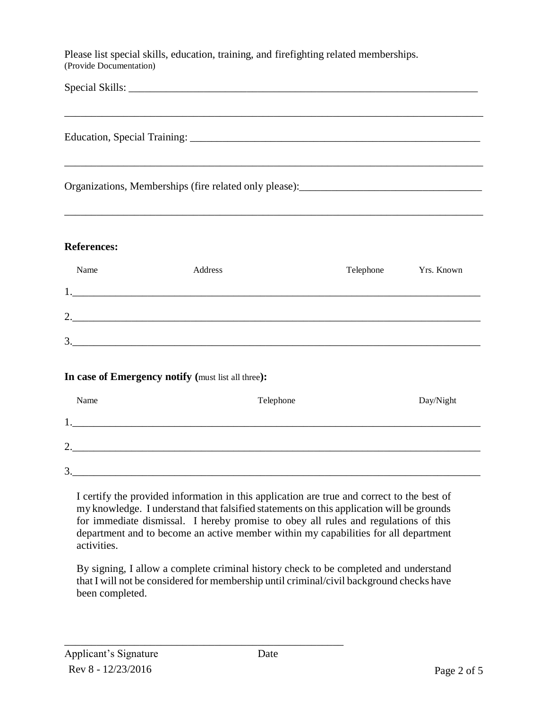Please list special skills, education, training, and firefighting related memberships. (Provide Documentation)

Special Skills: \_\_\_\_\_\_\_\_\_\_\_\_\_\_\_\_\_\_\_\_\_\_\_\_\_\_\_\_\_\_\_\_\_\_\_\_\_\_\_\_\_\_\_\_\_\_\_\_\_\_\_\_\_\_\_\_\_\_\_\_\_\_\_\_\_

Education, Special Training: \_\_\_\_\_\_\_\_\_\_\_\_\_\_\_\_\_\_\_\_\_\_\_\_\_\_\_\_\_\_\_\_\_\_\_\_\_\_\_\_\_\_\_\_\_\_\_\_\_\_\_\_\_\_

\_\_\_\_\_\_\_\_\_\_\_\_\_\_\_\_\_\_\_\_\_\_\_\_\_\_\_\_\_\_\_\_\_\_\_\_\_\_\_\_\_\_\_\_\_\_\_\_\_\_\_\_\_\_\_\_\_\_\_\_\_\_\_\_\_\_\_\_\_\_\_\_\_\_\_\_\_\_

\_\_\_\_\_\_\_\_\_\_\_\_\_\_\_\_\_\_\_\_\_\_\_\_\_\_\_\_\_\_\_\_\_\_\_\_\_\_\_\_\_\_\_\_\_\_\_\_\_\_\_\_\_\_\_\_\_\_\_\_\_\_\_\_\_\_\_\_\_\_\_\_\_\_\_\_\_\_

Organizations, Memberships (fire related only please):\_\_\_\_\_\_\_\_\_\_\_\_\_\_\_\_\_\_\_\_\_\_\_\_\_\_\_\_\_\_\_\_\_\_

#### **References:**

| Name    | Address | Telephone | Yrs. Known |
|---------|---------|-----------|------------|
|         |         |           |            |
| ◠<br>٠. |         |           |            |
| 3.      |         |           |            |

#### **In case of Emergency notify (**must list all three**):**

| Name    | Telephone | Day/Night |
|---------|-----------|-----------|
|         |           |           |
| ◠<br>٠. |           |           |
| 3       |           |           |

I certify the provided information in this application are true and correct to the best of my knowledge. I understand that falsified statements on this application will be grounds for immediate dismissal. I hereby promise to obey all rules and regulations of this department and to become an active member within my capabilities for all department activities.

By signing, I allow a complete criminal history check to be completed and understand that I will not be considered for membership until criminal/civil background checks have been completed.

\_\_\_\_\_\_\_\_\_\_\_\_\_\_\_\_\_\_\_\_\_\_\_\_\_\_\_\_\_\_\_\_\_\_\_\_\_\_\_\_\_\_\_\_\_\_\_\_\_\_\_\_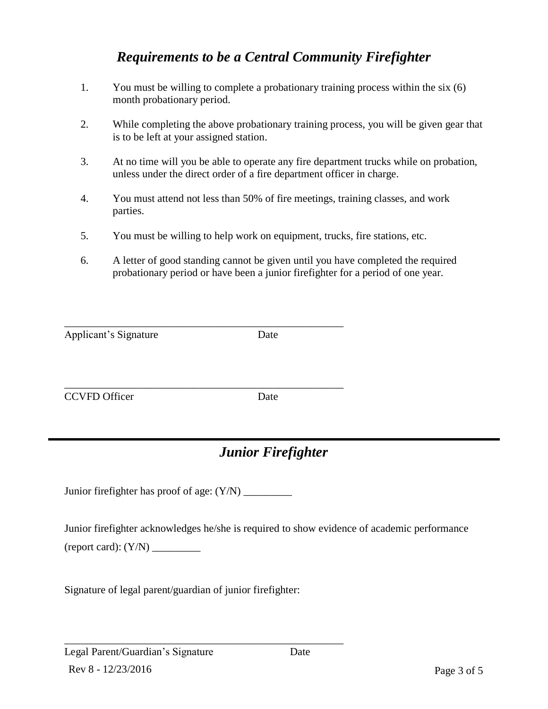## *Requirements to be a Central Community Firefighter*

- 1. You must be willing to complete a probationary training process within the six (6) month probationary period.
- 2. While completing the above probationary training process, you will be given gear that is to be left at your assigned station.
- 3. At no time will you be able to operate any fire department trucks while on probation, unless under the direct order of a fire department officer in charge.
- 4. You must attend not less than 50% of fire meetings, training classes, and work parties.
- 5. You must be willing to help work on equipment, trucks, fire stations, etc.
- 6. A letter of good standing cannot be given until you have completed the required probationary period or have been a junior firefighter for a period of one year.

| Applicant's Signature | Date |
|-----------------------|------|
|                       |      |

\_\_\_\_\_\_\_\_\_\_\_\_\_\_\_\_\_\_\_\_\_\_\_\_\_\_\_\_\_\_\_\_\_\_\_\_\_\_\_\_\_\_\_\_\_\_\_\_\_\_\_\_ CCVFD Officer Date

# *Junior Firefighter*

Junior firefighter has proof of age: (Y/N) \_\_\_\_\_\_\_\_\_

\_\_\_\_\_\_\_\_\_\_\_\_\_\_\_\_\_\_\_\_\_\_\_\_\_\_\_\_\_\_\_\_\_\_\_\_\_\_\_\_\_\_\_\_\_\_\_\_\_\_\_\_

Junior firefighter acknowledges he/she is required to show evidence of academic performance (report card): (Y/N) \_\_\_\_\_\_\_\_\_

Signature of legal parent/guardian of junior firefighter:

\_\_\_\_\_\_\_\_\_\_\_\_\_\_\_\_\_\_\_\_\_\_\_\_\_\_\_\_\_\_\_\_\_\_\_\_\_\_\_\_\_\_\_\_\_\_\_\_\_\_\_\_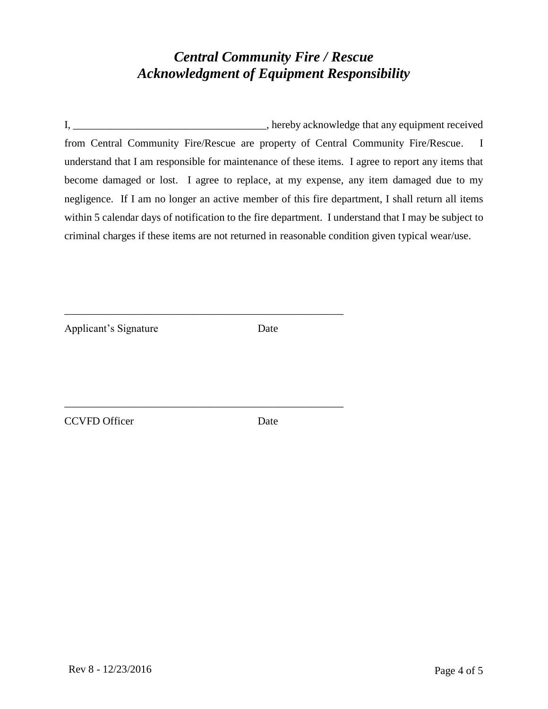#### *Central Community Fire / Rescue Acknowledgment of Equipment Responsibility*

I, \_\_\_\_\_\_\_\_\_\_\_\_\_\_\_\_\_\_\_\_\_\_\_\_\_\_\_\_\_\_\_\_\_\_\_\_, hereby acknowledge that any equipment received from Central Community Fire/Rescue are property of Central Community Fire/Rescue. I understand that I am responsible for maintenance of these items. I agree to report any items that become damaged or lost. I agree to replace, at my expense, any item damaged due to my negligence. If I am no longer an active member of this fire department, I shall return all items within 5 calendar days of notification to the fire department. I understand that I may be subject to criminal charges if these items are not returned in reasonable condition given typical wear/use.

Applicant's Signature Date

\_\_\_\_\_\_\_\_\_\_\_\_\_\_\_\_\_\_\_\_\_\_\_\_\_\_\_\_\_\_\_\_\_\_\_\_\_\_\_\_\_\_\_\_\_\_\_\_\_\_\_\_

\_\_\_\_\_\_\_\_\_\_\_\_\_\_\_\_\_\_\_\_\_\_\_\_\_\_\_\_\_\_\_\_\_\_\_\_\_\_\_\_\_\_\_\_\_\_\_\_\_\_\_\_

CCVFD Officer Date